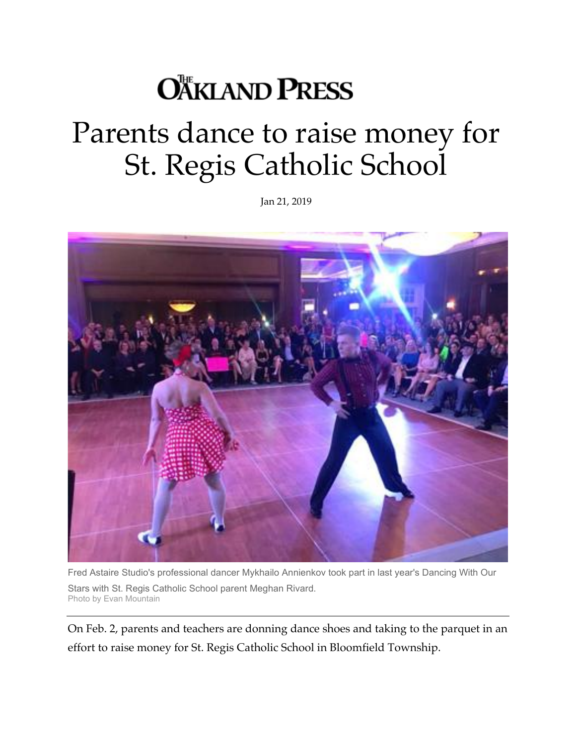## **OÄKLAND PRESS**

## Parents dance to raise money for St. Regis Catholic School

Jan 21, 2019



Fred Astaire Studio's professional dancer Mykhailo Annienkov took part in last year's Dancing With Our Stars with St. Regis Catholic School parent Meghan Rivard. Photo by Evan Mountain

On Feb. 2, parents and teachers are donning dance shoes and taking to the parquet in an effort to raise money for St. Regis Catholic School in Bloomfield Township.